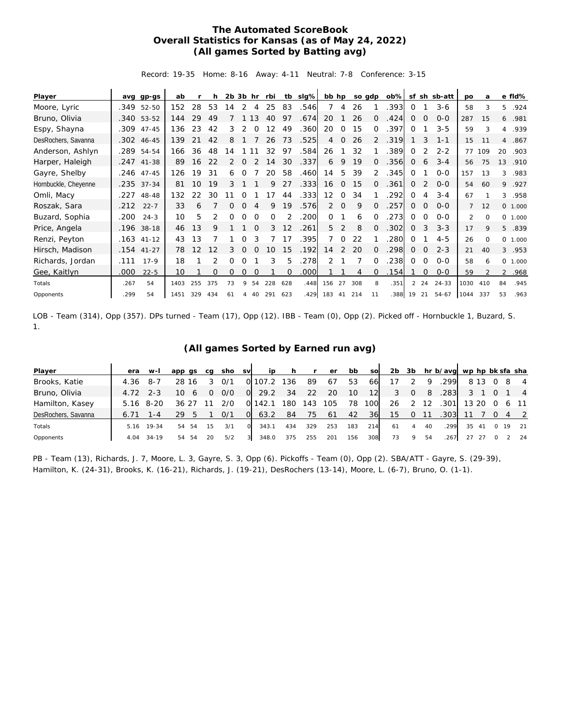## **The Automated ScoreBook Overall Statistics for Kansas (as of May 24, 2022) (All games Sorted by Batting avg)**

Record: 19-35 Home: 8-16 Away: 4-11 Neutral: 7-8 Conference: 3-15

| Player               | ava  | $qp-gs$      | ab   |     |     | 2b 3b |          | hr       | rbi      | tb                | slg% | bb hp             |                |     | so gdp   | $ob\%$ |                | sf sh       | sb-att    | po             | a        |                | e fld%  |
|----------------------|------|--------------|------|-----|-----|-------|----------|----------|----------|-------------------|------|-------------------|----------------|-----|----------|--------|----------------|-------------|-----------|----------------|----------|----------------|---------|
| Moore, Lyric         | .349 | 52-50        | 152  | 28  | 53  | 14    | 2        | 4        | 25       | 83                | .546 | 7                 | 4              | 26  |          | .393   | 0              |             | $3-6$     | 58             | 3        | 5.             | .924    |
| Bruno, Olivia        |      | .340 53-52   | 144  | 29  | 49  |       |          | 13       | 40       | 97                | .674 | 20                |                | 26  | 0        | .424   | 0              | $\Omega$    | $0 - 0$   | 287            | 15       | 6              | .981    |
| Espy, Shayna         |      | $.309$ 47-45 | 136  | 23  | 42  | 3     | 2        | $\Omega$ | 12       | 49                | .360 | 20                | $\Omega$       | 15  | 0        | 397    | $\Omega$       |             | $3 - 5$   | 59             | 3        | $\overline{4}$ | .939    |
| DesRochers, Savanna  |      | .302 46-45   | 139  | 21  | 42  | 8     |          |          | 26       | 73                | .525 | 4                 | 0              | 26  | 2        | 319    |                | 3           | $1 - 1$   | 15             | 11       | $\overline{4}$ | .867    |
| Anderson, Ashlyn     |      | .289 54-54   | 166  | 36  | 48  | 14    |          |          | 32       | 97                | .584 | 26                |                | 32  |          | 389    | 0              | 2           | $2 - 2$   | 77             | 109      | 20             | .903    |
| Harper, Haleigh      |      | .247 41-38   | 89   | 16  | 22  | 2     | 0        |          | 14       | 30                | .337 | 6                 | 9              | 19  | $\Omega$ | .356   | $\overline{0}$ | 6           | $3 - 4$   | 56             | 75       | 13             | .910    |
| Gayre, Shelby        |      | .246 47-45   | 126  | 19  | 31  | 6     | 0        |          | 20       | 58                | .460 | 14                | -5             | 39  | 2        | .345   | 0              |             | $O - O$   | 157            | 13       | 3              | .983    |
| Hornbuckle, Cheyenne |      | .235 37-34   | 81   | 10  | 19  | 3     |          |          | 9        | 27                | .333 | 16                | $\overline{0}$ | 15  | 0        | .361   | 0              | 2           | $0 - 0$   | 54             | 60       | 9              | .927    |
| Omli, Macy           | .227 | 48-48        | 132  | 22  | 30  |       |          |          | 17       | 44                | .333 | $12 \overline{ }$ | $\Omega$       | 34  |          | 292    | $\Omega$       | 4           | $3 - 4$   | 67             |          | 3              | .958    |
| Roszak, Sara         | .212 | $22 - 7$     | 33   | 6   |     | 0     | 0        |          | 9        | 19                | .576 | 2                 | $\overline{0}$ | 9   | $\Omega$ | 257    | 0              | $\mathbf 0$ | $O - O$   | $\overline{7}$ | 12       |                | 0 1.000 |
| Buzard, Sophia       | .200 | $24 - 3$     | 10   | 5   |     |       | Ω        | $\Omega$ | $\Omega$ |                   | .200 | $\Omega$          |                | 6   | ∩        | 273    | 0              | $\Omega$    | $0 - 0$   | $\mathfrak{D}$ | $\Omega$ |                | 0 1.000 |
| Price, Angela        |      | .196 38-18   | 46   | 13  | 9   |       |          | $\Omega$ | 3        | $12 \overline{ }$ | .261 | 5                 | 2              | 8   | $\Omega$ | .302   | 0              | 3           | $3 - 3$   | 17             | 9        | 5              | .839    |
| Renzi, Peyton        |      | $.163$ 41-12 | 43   | 13  |     |       |          |          |          | 17                | .395 | 7                 | $\Omega$       | 22  |          | 280    | 0              |             | $4 - 5$   | 26             | $\Omega$ |                | 0 1.000 |
| Hirsch, Madison      |      | $.154$ 41-27 | 78   | 12  | 12  | 3     | $\Omega$ |          | 10       | 15                | .192 | 14                | 2              | 20  | $\Omega$ | .298   | 0              | $\mathbf 0$ | $2 - 3$   | 21             | 40       |                | 3.953   |
| Richards, Jordan     | .111 | $17-9$       | 18   |     |     | O     | 0        |          | 3        | 5                 | .278 | 2                 |                |     | $\Omega$ | .238   | 0              | 0           | $0-0$     | 58             | 6        |                | 0 1.000 |
| Gee, Kaitlyn         | .000 | $22 - 5$     | 10   |     | O   | 0     | 0        | $\Omega$ |          | 0                 | .000 |                   |                | 4   | $\Omega$ | .154   |                | 0           | $0 - 0$   | 59             |          |                | 2 .968  |
| Totals               | .267 | 54           | 1403 | 255 | 375 | 73    | 9        | 54       | 228      | 628               | .448 | 156               | 27             | 308 | 8        | .351   | 2              | 24          | $24 - 33$ | 1030           | 410      | 84             | .945    |
| Opponents            | .299 | 54           | 1451 | 329 | 434 | 61    | 4        | 40       | 291      | 623               | .429 | 183               | 41             | 214 | 11       | 388    | 19             | 21          | 54-67     | 1044           | 337      | 53             | .963    |

LOB - Team (314), Opp (357). DPs turned - Team (17), Opp (12). IBB - Team (0), Opp (2). Picked off - Hornbuckle 1, Buzard, S. 1.

## **(All games Sorted by Earned run avg)**

| Player              | era        | $W-I$   | app qs   | ca     | sho  | <b>SV</b> | ip    | h.  | $\mathsf{r}$ | er  | bb  | sol | 2 <sub>b</sub> | 3b       |    | hr b/avg wp hp bk sfa sha |       |       |          |    |                |
|---------------------|------------|---------|----------|--------|------|-----------|-------|-----|--------------|-----|-----|-----|----------------|----------|----|---------------------------|-------|-------|----------|----|----------------|
| Brooks, Katie       | 4.36       | -8-7    | 28 16    |        | 0/1  |           | 107.2 | 136 | 89           | -67 | 53  | 66  |                |          | Q  | .299                      |       | 8 1 3 |          | -8 | $\overline{4}$ |
| Bruno, Olivia       | $4.72$ 2-3 |         | 10       | Ω<br>6 | 0/0  | $\Omega$  | 29.2  | 34  | 22           | 20  | 10  | 12  | 3              | $\Omega$ | 8  | .283                      |       |       |          |    | $\overline{4}$ |
| Hamilton, Kasey     | 5.16       | 8-20    | 36       |        | 270. | O.        | 142.1 | 180 | 43           | 105 | 78  | 00  | 26             |          | 12 | .301                      | 13 20 |       |          |    | 6 11           |
| DesRochers, Savanna | 6.71       | 1 - 4   | 29       |        | 0/1  | $\Omega$  | 63.2  | 84  | 75           | -61 | 42  | 36  | 15             | 0        |    | .303 <sub>l</sub>         |       |       |          |    | 4 2            |
| Totals              | 5.16       | 19-34   | 54<br>54 | 15     | 3/1  |           | 343.1 | 434 | 329          | 253 | 183 | 214 | 61             | 4        | 40 | .299                      | 35    | -41   | $\Omega$ | 19 | 21             |
| Opponents           | 4.04       | $34-19$ | 54<br>54 | 20     | 5/2  | 3         | 348.0 | 375 | 255          | 201 | 156 | 308 | 73             | Q        | 54 | 267                       | 27    |       |          |    | 24             |

PB - Team (13), Richards, J. 7, Moore, L. 3, Gayre, S. 3, Opp (6). Pickoffs - Team (0), Opp (2). SBA/ATT - Gayre, S. (29-39), Hamilton, K. (24-31), Brooks, K. (16-21), Richards, J. (19-21), DesRochers (13-14), Moore, L. (6-7), Bruno, O. (1-1).